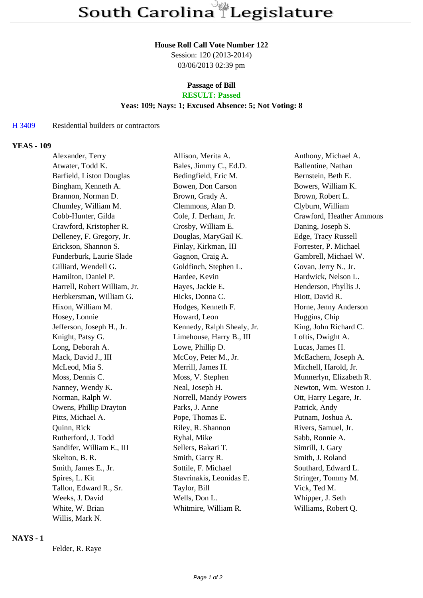#### **House Roll Call Vote Number 122**

Session: 120 (2013-2014) 03/06/2013 02:39 pm

#### **Passage of Bill RESULT: Passed**

## **Yeas: 109; Nays: 1; Excused Absence: 5; Not Voting: 8**

### H 3409 Residential builders or contractors

### **YEAS - 109**

| Alexander, Terry             | Allison, Merita A.         | Anthony, Michael A.      |
|------------------------------|----------------------------|--------------------------|
| Atwater, Todd K.             | Bales, Jimmy C., Ed.D.     | Ballentine, Nathan       |
| Barfield, Liston Douglas     | Bedingfield, Eric M.       | Bernstein, Beth E.       |
| Bingham, Kenneth A.          | Bowen, Don Carson          | Bowers, William K.       |
| Brannon, Norman D.           | Brown, Grady A.            | Brown, Robert L.         |
| Chumley, William M.          | Clemmons, Alan D.          | Clyburn, William         |
| Cobb-Hunter, Gilda           | Cole, J. Derham, Jr.       | Crawford, Heather Ammons |
| Crawford, Kristopher R.      | Crosby, William E.         | Daning, Joseph S.        |
| Delleney, F. Gregory, Jr.    | Douglas, MaryGail K.       | Edge, Tracy Russell      |
| Erickson, Shannon S.         | Finlay, Kirkman, III       | Forrester, P. Michael    |
| Funderburk, Laurie Slade     | Gagnon, Craig A.           | Gambrell, Michael W.     |
| Gilliard, Wendell G.         | Goldfinch, Stephen L.      | Govan, Jerry N., Jr.     |
| Hamilton, Daniel P.          | Hardee, Kevin              | Hardwick, Nelson L.      |
| Harrell, Robert William, Jr. | Hayes, Jackie E.           | Henderson, Phyllis J.    |
| Herbkersman, William G.      | Hicks, Donna C.            | Hiott, David R.          |
| Hixon, William M.            | Hodges, Kenneth F.         | Horne, Jenny Anderson    |
| Hosey, Lonnie                | Howard, Leon               | Huggins, Chip            |
| Jefferson, Joseph H., Jr.    | Kennedy, Ralph Shealy, Jr. | King, John Richard C.    |
| Knight, Patsy G.             | Limehouse, Harry B., III   | Loftis, Dwight A.        |
| Long, Deborah A.             | Lowe, Phillip D.           | Lucas, James H.          |
| Mack, David J., III          | McCoy, Peter M., Jr.       | McEachern, Joseph A.     |
| McLeod, Mia S.               | Merrill, James H.          | Mitchell, Harold, Jr.    |
| Moss, Dennis C.              | Moss, V. Stephen           | Munnerlyn, Elizabeth R.  |
| Nanney, Wendy K.             | Neal, Joseph H.            | Newton, Wm. Weston J.    |
| Norman, Ralph W.             | Norrell, Mandy Powers      | Ott, Harry Legare, Jr.   |
| Owens, Phillip Drayton       | Parks, J. Anne             | Patrick, Andy            |
| Pitts, Michael A.            | Pope, Thomas E.            | Putnam, Joshua A.        |
| Quinn, Rick                  | Riley, R. Shannon          | Rivers, Samuel, Jr.      |
| Rutherford, J. Todd          | Ryhal, Mike                | Sabb, Ronnie A.          |
| Sandifer, William E., III    | Sellers, Bakari T.         | Simrill, J. Gary         |
| Skelton, B. R.               | Smith, Garry R.            | Smith, J. Roland         |
| Smith, James E., Jr.         | Sottile, F. Michael        | Southard, Edward L.      |
| Spires, L. Kit               | Stavrinakis, Leonidas E.   | Stringer, Tommy M.       |
| Tallon, Edward R., Sr.       | Taylor, Bill               | Vick, Ted M.             |
| Weeks, J. David              | Wells, Don L.              | Whipper, J. Seth         |
| White, W. Brian              | Whitmire, William R.       | Williams, Robert Q.      |
| Willis, Mark N.              |                            |                          |

## **NAYS - 1**

Felder, R. Raye